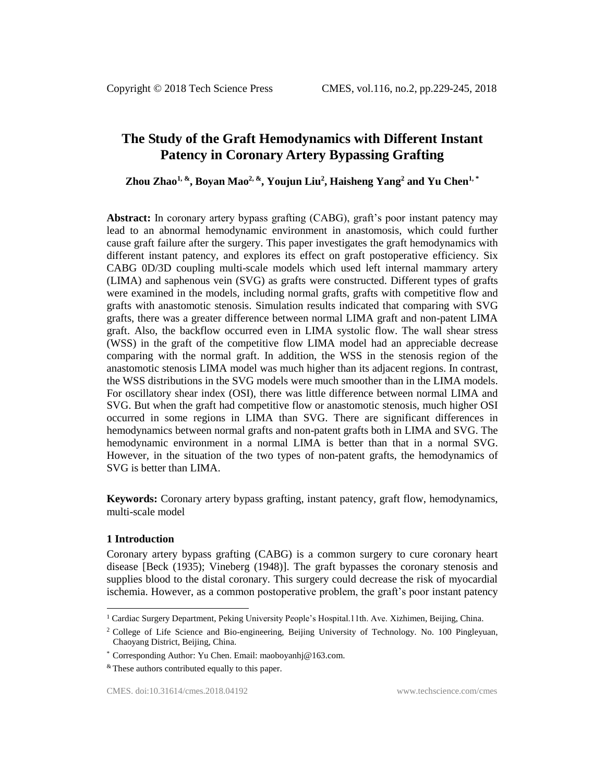# **The Study of the Graft Hemodynamics with Different Instant Patency in Coronary Artery Bypassing Grafting**

**Zhou Zhao1, &, Boyan Mao2, &, Youjun Liu<sup>2</sup> , Haisheng Yang<sup>2</sup> and Yu Chen1, \***

**Abstract:** In coronary artery bypass grafting (CABG), graft's poor instant patency may lead to an abnormal hemodynamic environment in anastomosis, which could further cause graft failure after the surgery. This paper investigates the graft hemodynamics with different instant patency, and explores its effect on graft postoperative efficiency. Six CABG 0D/3D coupling multi-scale models which used left internal mammary artery (LIMA) and saphenous vein (SVG) as grafts were constructed. Different types of grafts were examined in the models, including normal grafts, grafts with competitive flow and grafts with anastomotic stenosis. Simulation results indicated that comparing with SVG grafts, there was a greater difference between normal LIMA graft and non-patent LIMA graft. Also, the backflow occurred even in LIMA systolic flow. The wall shear stress (WSS) in the graft of the competitive flow LIMA model had an appreciable decrease comparing with the normal graft. In addition, the WSS in the stenosis region of the anastomotic stenosis LIMA model was much higher than its adjacent regions. In contrast, the WSS distributions in the SVG models were much smoother than in the LIMA models. For oscillatory shear index (OSI), there was little difference between normal LIMA and SVG. But when the graft had competitive flow or anastomotic stenosis, much higher OSI occurred in some regions in LIMA than SVG. There are significant differences in hemodynamics between normal grafts and non-patent grafts both in LIMA and SVG. The hemodynamic environment in a normal LIMA is better than that in a normal SVG. However, in the situation of the two types of non-patent grafts, the hemodynamics of SVG is better than LIMA.

**Keywords:** Coronary artery bypass grafting, instant patency, graft flow, hemodynamics, multi-scale model

### **1 Introduction**

l

Coronary artery bypass grafting (CABG) is a common surgery to cure coronary heart disease [Beck (1935); Vineberg (1948)]. The graft bypasses the coronary stenosis and supplies blood to the distal coronary. This surgery could decrease the risk of myocardial ischemia. However, as a common postoperative problem, the graft's poor instant patency

<sup>1</sup> Cardiac Surgery Department, Peking University People's Hospital.11th. Ave. Xizhimen, Beijing, China.

<sup>&</sup>lt;sup>2</sup> College of Life Science and Bio-engineering, Beijing University of Technology. No. 100 Pingleyuan, Chaoyang District, Beijing, China.

<sup>\*</sup> Corresponding Author: Yu Chen. Email: maoboyanhj@163.com.

<sup>&</sup>amp; These authors contributed equally to this paper.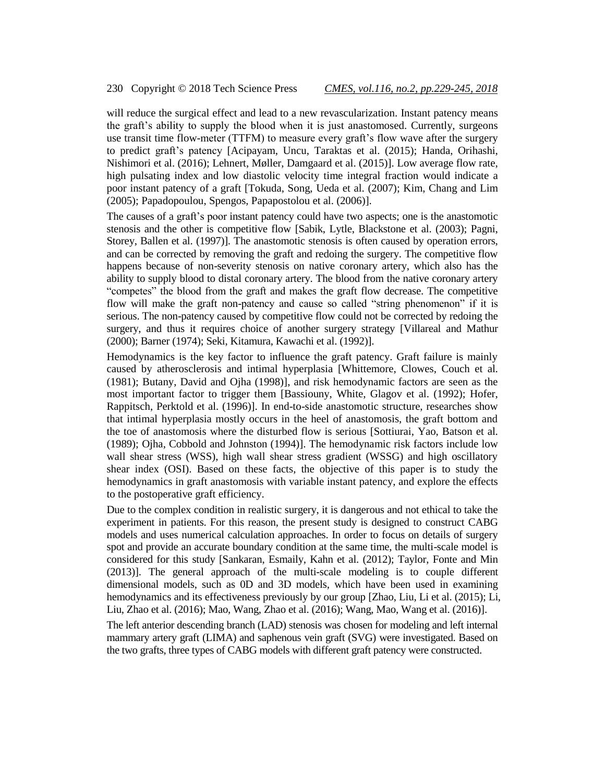will reduce the surgical effect and lead to a new revascularization. Instant patency means the graft's ability to supply the blood when it is just anastomosed. Currently, surgeons use transit time flow-meter (TTFM) to measure every graft's flow wave after the surgery to predict graft's patency [Acipayam, Uncu, Taraktas et al. (2015); Handa, Orihashi, Nishimori et al. (2016); Lehnert, Møller, Damgaard et al. (2015)]. Low average flow rate, high pulsating index and low diastolic velocity time integral fraction would indicate a poor instant patency of a graft [Tokuda, Song, Ueda et al. (2007); Kim, Chang and Lim (2005); Papadopoulou, Spengos, Papapostolou et al. (2006)].

The causes of a graft's poor instant patency could have two aspects; one is the anastomotic stenosis and the other is competitive flow [Sabik, Lytle, Blackstone et al. (2003); Pagni, Storey, Ballen et al. (1997)]. The anastomotic stenosis is often caused by operation errors, and can be corrected by removing the graft and redoing the surgery. The competitive flow happens because of non-severity stenosis on native coronary artery, which also has the ability to supply blood to distal coronary artery. The blood from the native coronary artery "competes" the blood from the graft and makes the graft flow decrease. The competitive flow will make the graft non-patency and cause so called "string phenomenon" if it is serious. The non-patency caused by competitive flow could not be corrected by redoing the surgery, and thus it requires choice of another surgery strategy [Villareal and Mathur (2000); Barner (1974); Seki, Kitamura, Kawachi et al. (1992)].

Hemodynamics is the key factor to influence the graft patency. Graft failure is mainly caused by atherosclerosis and intimal hyperplasia [Whittemore, Clowes, Couch et al. (1981); Butany, David and Ojha (1998)], and risk hemodynamic factors are seen as the most important factor to trigger them [Bassiouny, White, Glagov et al. (1992); Hofer, Rappitsch, Perktold et al. (1996)]. In end-to-side anastomotic structure, researches show that intimal hyperplasia mostly occurs in the heel of anastomosis, the graft bottom and the toe of anastomosis where the disturbed flow is serious [Sottiurai, Yao, Batson et al. (1989); Ojha, Cobbold and Johnston (1994)]. The hemodynamic risk factors include low wall shear stress (WSS), high wall shear stress gradient (WSSG) and high oscillatory shear index (OSI). Based on these facts, the objective of this paper is to study the hemodynamics in graft anastomosis with variable instant patency, and explore the effects to the postoperative graft efficiency.

Due to the complex condition in realistic surgery, it is dangerous and not ethical to take the experiment in patients. For this reason, the present study is designed to construct CABG models and uses numerical calculation approaches. In order to focus on details of surgery spot and provide an accurate boundary condition at the same time, the multi-scale model is considered for this study [Sankaran, Esmaily, Kahn et al. (2012); Taylor, Fonte and Min (2013)]. The general approach of the multi-scale modeling is to couple different dimensional models, such as 0D and 3D models, which have been used in examining hemodynamics and its effectiveness previously by our group [Zhao, Liu, Li et al. (2015); Li, Liu, Zhao et al. (2016); Mao, Wang, Zhao et al. (2016); Wang, Mao, Wang et al. (2016)].

The left anterior descending branch (LAD) stenosis was chosen for modeling and left internal mammary artery graft (LIMA) and saphenous vein graft (SVG) were investigated. Based on the two grafts, three types of CABG models with different graft patency were constructed.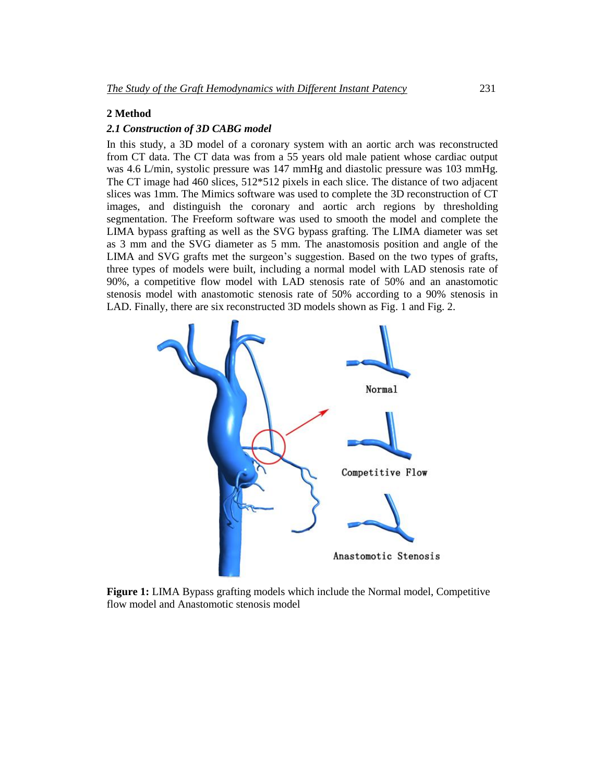### **2 Method**

### *2.1 Construction of 3D CABG model*

In this study, a 3D model of a coronary system with an aortic arch was reconstructed from CT data. The CT data was from a 55 years old male patient whose cardiac output was 4.6 L/min, systolic pressure was 147 mmHg and diastolic pressure was 103 mmHg. The CT image had 460 slices, 512\*512 pixels in each slice. The distance of two adjacent slices was 1mm. The Mimics software was used to complete the 3D reconstruction of CT images, and distinguish the coronary and aortic arch regions by thresholding segmentation. The Freeform software was used to smooth the model and complete the LIMA bypass grafting as well as the SVG bypass grafting. The LIMA diameter was set as 3 mm and the SVG diameter as 5 mm. The anastomosis position and angle of the LIMA and SVG grafts met the surgeon's suggestion. Based on the two types of grafts, three types of models were built, including a normal model with LAD stenosis rate of 90%, a competitive flow model with LAD stenosis rate of 50% and an anastomotic stenosis model with anastomotic stenosis rate of 50% according to a 90% stenosis in LAD. Finally, there are six reconstructed 3D models shown as Fig. 1 and Fig. 2.



**Figure 1:** LIMA Bypass grafting models which include the Normal model, Competitive flow model and Anastomotic stenosis model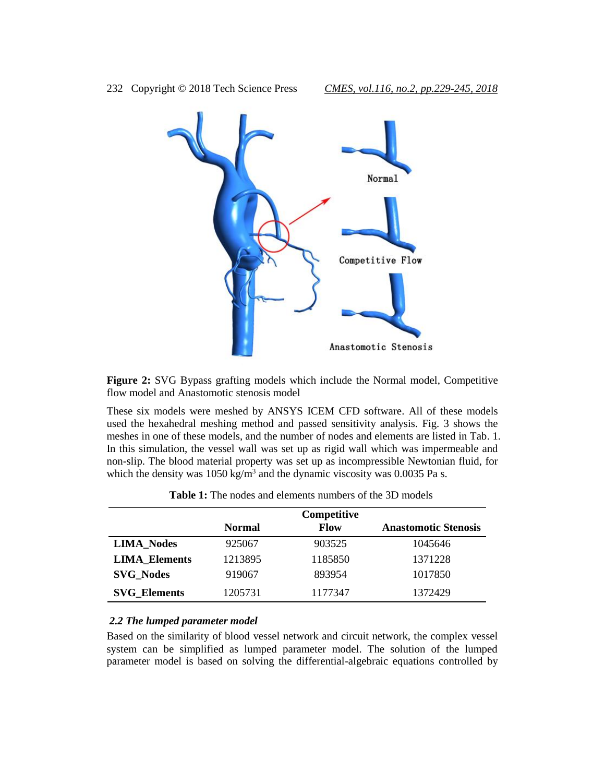

**Figure 2:** SVG Bypass grafting models which include the Normal model, Competitive flow model and Anastomotic stenosis model

These six models were meshed by ANSYS ICEM CFD software. All of these models used the hexahedral meshing method and passed sensitivity analysis. Fig. 3 shows the meshes in one of these models, and the number of nodes and elements are listed in Tab. 1. In this simulation, the vessel wall was set up as rigid wall which was impermeable and non-slip. The blood material property was set up as incompressible Newtonian fluid, for which the density was  $1050 \text{ kg/m}^3$  and the dynamic viscosity was 0.0035 Pa s.

|                      |               | Competitive |                             |
|----------------------|---------------|-------------|-----------------------------|
|                      | <b>Normal</b> | <b>Flow</b> | <b>Anastomotic Stenosis</b> |
| <b>LIMA Nodes</b>    | 925067        | 903525      | 1045646                     |
| <b>LIMA Elements</b> | 1213895       | 1185850     | 1371228                     |
| <b>SVG Nodes</b>     | 919067        | 893954      | 1017850                     |
| <b>SVG Elements</b>  | 1205731       | 1177347     | 1372429                     |

**Table 1:** The nodes and elements numbers of the 3D models

### *2.2 The lumped parameter model*

Based on the similarity of blood vessel network and circuit network, the complex vessel system can be simplified as lumped parameter model. The solution of the lumped parameter model is based on solving the differential-algebraic equations controlled by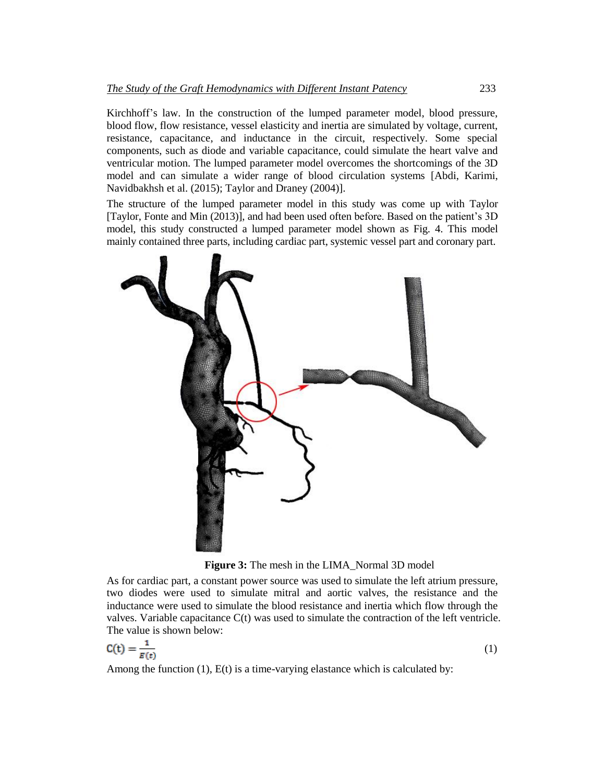Kirchhoff's law. In the construction of the lumped parameter model, blood pressure, blood flow, flow resistance, vessel elasticity and inertia are simulated by voltage, current, resistance, capacitance, and inductance in the circuit, respectively. Some special components, such as diode and variable capacitance, could simulate the heart valve and ventricular motion. The lumped parameter model overcomes the shortcomings of the 3D model and can simulate a wider range of blood circulation systems [Abdi, Karimi, Navidbakhsh et al. (2015); Taylor and Draney (2004)].

The structure of the lumped parameter model in this study was come up with Taylor [Taylor, Fonte and Min (2013)], and had been used often before. Based on the patient's 3D model, this study constructed a lumped parameter model shown as Fig. 4. This model mainly contained three parts, including cardiac part, systemic vessel part and coronary part.



**Figure 3:** The mesh in the LIMA\_Normal 3D model

As for cardiac part, a constant power source was used to simulate the left atrium pressure, two diodes were used to simulate mitral and aortic valves, the resistance and the inductance were used to simulate the blood resistance and inertia which flow through the valves. Variable capacitance  $C(t)$  was used to simulate the contraction of the left ventricle. The value is shown below:

$$
C(t) = \frac{1}{E(t)}\tag{1}
$$

Among the function (1), E(t) is a time-varying elastance which is calculated by: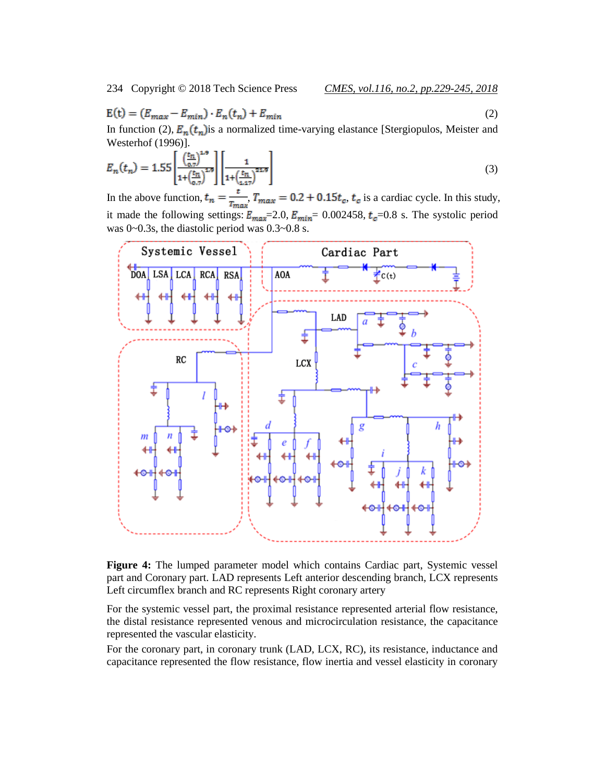### 234 Copyright © 2018 Tech Science Press *CMES, vol.116, no.2, pp.229-245, 2018*

$$
E(t) = (E_{max} - E_{min}) \cdot E_n(t_n) + E_{min}
$$
\n(2)

In function (2),  $E_n(t_n)$  is a normalized time-varying elastance [Stergiopulos, Meister and Westerhof (1996)].

$$
E_n(t_n) = 1.55 \left[ \frac{\left(\frac{t_n}{0.7}\right)^{1.9}}{1 + \left(\frac{t_n}{0.7}\right)^{1.5}} \right] \left[ \frac{1}{1 + \left(\frac{t_n}{1.17}\right)^{21.5}} \right] \tag{3}
$$

In the above function,  $t_n = \frac{t}{T_{max}}$ ,  $T_{max} = 0.2 + 0.15t_c$ ,  $t_c$  is a cardiac cycle. In this study, it made the following settings:  $E_{max}$ =2.0,  $E_{min}$ = 0.002458,  $t_c$ =0.8 s. The systolic period was 0~0.3s, the diastolic period was 0.3~0.8 s.



**Figure 4:** The lumped parameter model which contains Cardiac part, Systemic vessel part and Coronary part. LAD represents Left anterior descending branch, LCX represents Left circumflex branch and RC represents Right coronary artery

For the systemic vessel part, the proximal resistance represented arterial flow resistance, the distal resistance represented venous and microcirculation resistance, the capacitance represented the vascular elasticity.

For the coronary part, in coronary trunk (LAD, LCX, RC), its resistance, inductance and capacitance represented the flow resistance, flow inertia and vessel elasticity in coronary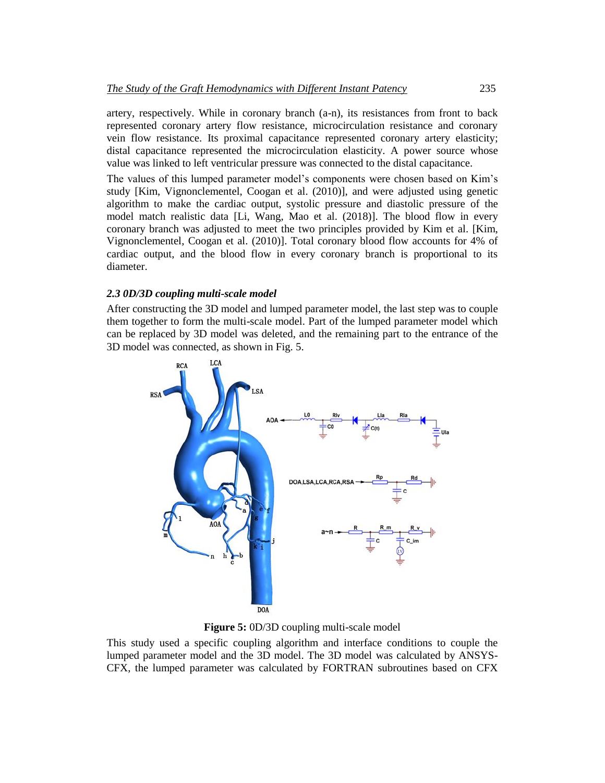artery, respectively. While in coronary branch (a-n), its resistances from front to back represented coronary artery flow resistance, microcirculation resistance and coronary vein flow resistance. Its proximal capacitance represented coronary artery elasticity; distal capacitance represented the microcirculation elasticity. A power source whose value was linked to left ventricular pressure was connected to the distal capacitance.

The values of this lumped parameter model's components were chosen based on Kim's study [Kim, Vignonclementel, Coogan et al. (2010)], and were adjusted using genetic algorithm to make the cardiac output, systolic pressure and diastolic pressure of the model match realistic data [Li, Wang, Mao et al. (2018)]. The blood flow in every coronary branch was adjusted to meet the two principles provided by Kim et al. [Kim, Vignonclementel, Coogan et al. (2010)]. Total coronary blood flow accounts for 4% of cardiac output, and the blood flow in every coronary branch is proportional to its diameter.

### *2.3 0D/3D coupling multi-scale model*

After constructing the 3D model and lumped parameter model, the last step was to couple them together to form the multi-scale model. Part of the lumped parameter model which can be replaced by 3D model was deleted, and the remaining part to the entrance of the 3D model was connected, as shown in Fig. 5.



**Figure 5:** 0D/3D coupling multi-scale model

This study used a specific coupling algorithm and interface conditions to couple the lumped parameter model and the 3D model. The 3D model was calculated by ANSYS-CFX, the lumped parameter was calculated by FORTRAN subroutines based on CFX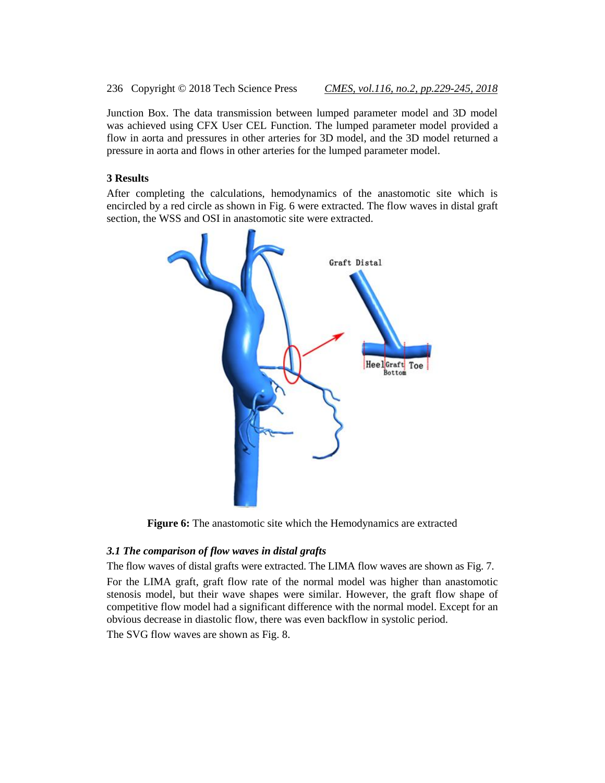236 Copyright © 2018 Tech Science Press *CMES, vol.116, no.2, pp.229-245, 2018*

Junction Box. The data transmission between lumped parameter model and 3D model was achieved using CFX User CEL Function. The lumped parameter model provided a flow in aorta and pressures in other arteries for 3D model, and the 3D model returned a pressure in aorta and flows in other arteries for the lumped parameter model.

### **3 Results**

After completing the calculations, hemodynamics of the anastomotic site which is encircled by a red circle as shown in Fig. 6 were extracted. The flow waves in distal graft section, the WSS and OSI in anastomotic site were extracted.



**Figure 6:** The anastomotic site which the Hemodynamics are extracted

### *3.1 The comparison of flow waves in distal grafts*

The flow waves of distal grafts were extracted. The LIMA flow waves are shown as Fig. 7. For the LIMA graft, graft flow rate of the normal model was higher than anastomotic stenosis model, but their wave shapes were similar. However, the graft flow shape of competitive flow model had a significant difference with the normal model. Except for an obvious decrease in diastolic flow, there was even backflow in systolic period.

The SVG flow waves are shown as Fig. 8.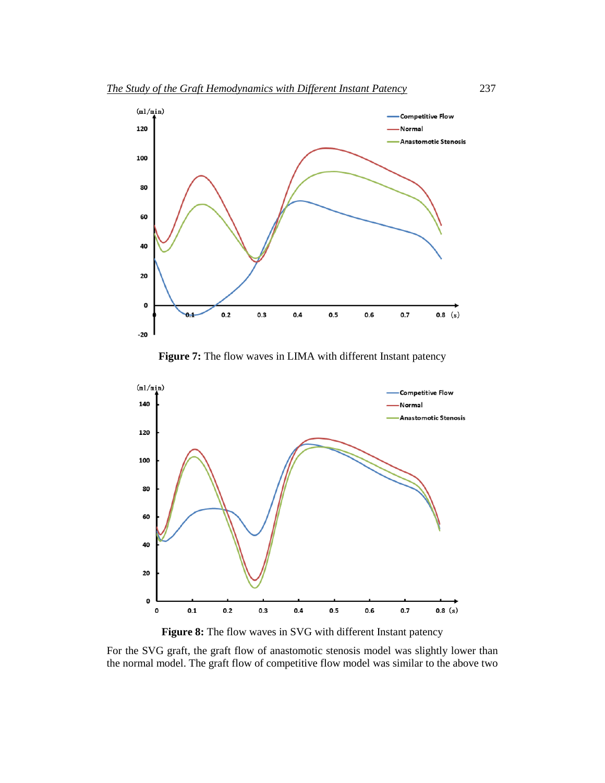

**Figure 7:** The flow waves in LIMA with different Instant patency



**Figure 8:** The flow waves in SVG with different Instant patency

For the SVG graft, the graft flow of anastomotic stenosis model was slightly lower than the normal model. The graft flow of competitive flow model was similar to the above two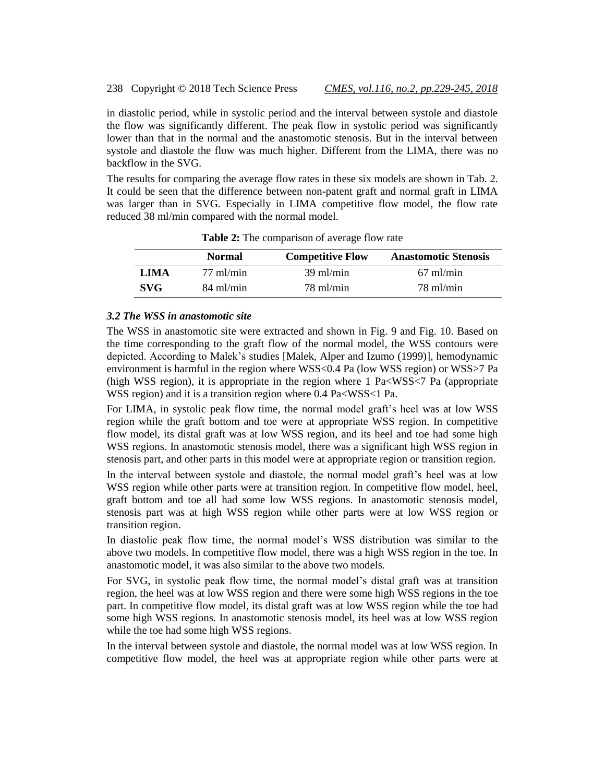in diastolic period, while in systolic period and the interval between systole and diastole the flow was significantly different. The peak flow in systolic period was significantly lower than that in the normal and the anastomotic stenosis. But in the interval between systole and diastole the flow was much higher. Different from the LIMA, there was no backflow in the SVG.

The results for comparing the average flow rates in these six models are shown in Tab. 2. It could be seen that the difference between non-patent graft and normal graft in LIMA was larger than in SVG. Especially in LIMA competitive flow model, the flow rate reduced 38 ml/min compared with the normal model.

|      | <b>Normal</b>       | <b>Competitive Flow</b> | <b>Anastomotic Stenosis</b> |
|------|---------------------|-------------------------|-----------------------------|
| LIMA | $77 \text{ ml/min}$ | $39 \text{ ml/min}$     | $67 \text{ ml/min}$         |
| SVG- | $84 \text{ ml/min}$ | $78 \text{ ml/min}$     | $78 \text{ ml/min}$         |

**Table 2:** The comparison of average flow rate

### *3.2 The WSS in anastomotic site*

The WSS in anastomotic site were extracted and shown in Fig. 9 and Fig. 10. Based on the time corresponding to the graft flow of the normal model, the WSS contours were depicted. According to Malek's studies [Malek, Alper and Izumo (1999)], hemodynamic environment is harmful in the region where WSS<0.4 Pa (low WSS region) or WSS>7 Pa (high WSS region), it is appropriate in the region where 1 Pa<WSS<7 Pa (appropriate WSS region) and it is a transition region where 0.4 Pa<WSS<1 Pa.

For LIMA, in systolic peak flow time, the normal model graft's heel was at low WSS region while the graft bottom and toe were at appropriate WSS region. In competitive flow model, its distal graft was at low WSS region, and its heel and toe had some high WSS regions. In anastomotic stenosis model, there was a significant high WSS region in stenosis part, and other parts in this model were at appropriate region or transition region.

In the interval between systole and diastole, the normal model graft's heel was at low WSS region while other parts were at transition region. In competitive flow model, heel, graft bottom and toe all had some low WSS regions. In anastomotic stenosis model, stenosis part was at high WSS region while other parts were at low WSS region or transition region.

In diastolic peak flow time, the normal model's WSS distribution was similar to the above two models. In competitive flow model, there was a high WSS region in the toe. In anastomotic model, it was also similar to the above two models.

For SVG, in systolic peak flow time, the normal model's distal graft was at transition region, the heel was at low WSS region and there were some high WSS regions in the toe part. In competitive flow model, its distal graft was at low WSS region while the toe had some high WSS regions. In anastomotic stenosis model, its heel was at low WSS region while the toe had some high WSS regions.

In the interval between systole and diastole, the normal model was at low WSS region. In competitive flow model, the heel was at appropriate region while other parts were at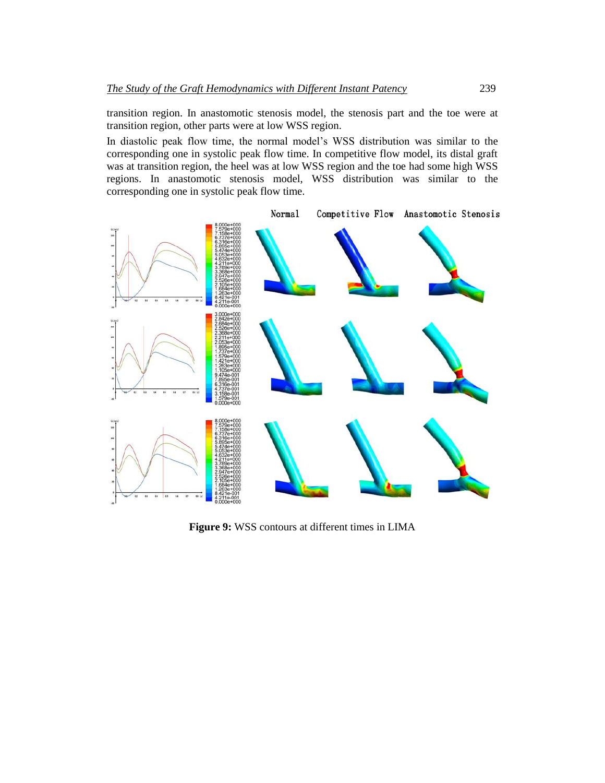transition region. In anastomotic stenosis model, the stenosis part and the toe were at transition region, other parts were at low WSS region.

In diastolic peak flow time, the normal model's WSS distribution was similar to the corresponding one in systolic peak flow time. In competitive flow model, its distal graft was at transition region, the heel was at low WSS region and the toe had some high WSS regions. In anastomotic stenosis model, WSS distribution was similar to the corresponding one in systolic peak flow time.



**Figure 9:** WSS contours at different times in LIMA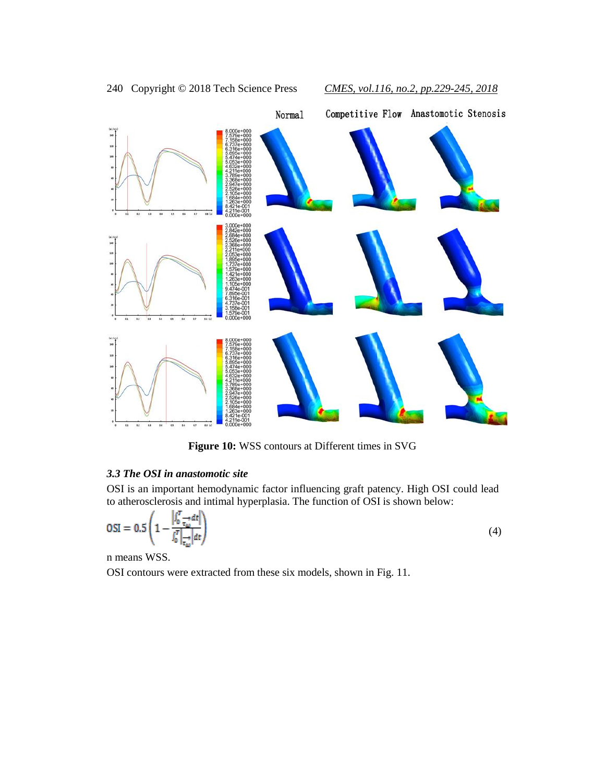

**Figure 10:** WSS contours at Different times in SVG

## *3.3 The OSI in anastomotic site*

OSI is an important hemodynamic factor influencing graft patency. High OSI could lead to atherosclerosis and intimal hyperplasia. The function of OSI is shown below:

$$
OSI = 0.5 \left( 1 - \frac{\left| \int_0^T \frac{dt}{r_{\omega}} \, dt \right|}{\int_0^T \left| \frac{dt}{r_{\omega}} \right| \, dt} \right) \tag{4}
$$

n means WSS.

OSI contours were extracted from these six models, shown in Fig. 11.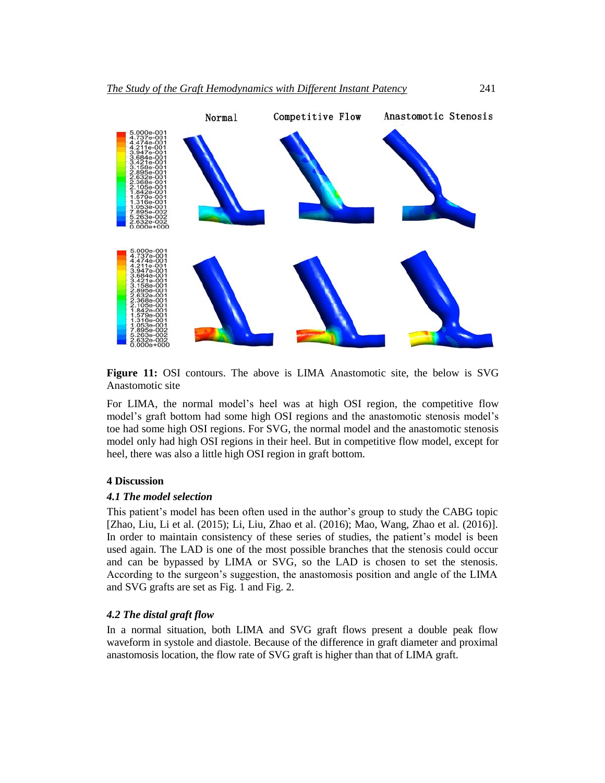

**Figure 11:** OSI contours. The above is LIMA Anastomotic site, the below is SVG Anastomotic site

For LIMA, the normal model's heel was at high OSI region, the competitive flow model's graft bottom had some high OSI regions and the anastomotic stenosis model's toe had some high OSI regions. For SVG, the normal model and the anastomotic stenosis model only had high OSI regions in their heel. But in competitive flow model, except for heel, there was also a little high OSI region in graft bottom.

### **4 Discussion**

### *4.1 The model selection*

This patient's model has been often used in the author's group to study the CABG topic [Zhao, Liu, Li et al. (2015); Li, Liu, Zhao et al. (2016); Mao, Wang, Zhao et al. (2016)]. In order to maintain consistency of these series of studies, the patient's model is been used again. The LAD is one of the most possible branches that the stenosis could occur and can be bypassed by LIMA or SVG, so the LAD is chosen to set the stenosis. According to the surgeon's suggestion, the anastomosis position and angle of the LIMA and SVG grafts are set as Fig. 1 and Fig. 2.

### *4.2 The distal graft flow*

In a normal situation, both LIMA and SVG graft flows present a double peak flow waveform in systole and diastole. Because of the difference in graft diameter and proximal anastomosis location, the flow rate of SVG graft is higher than that of LIMA graft.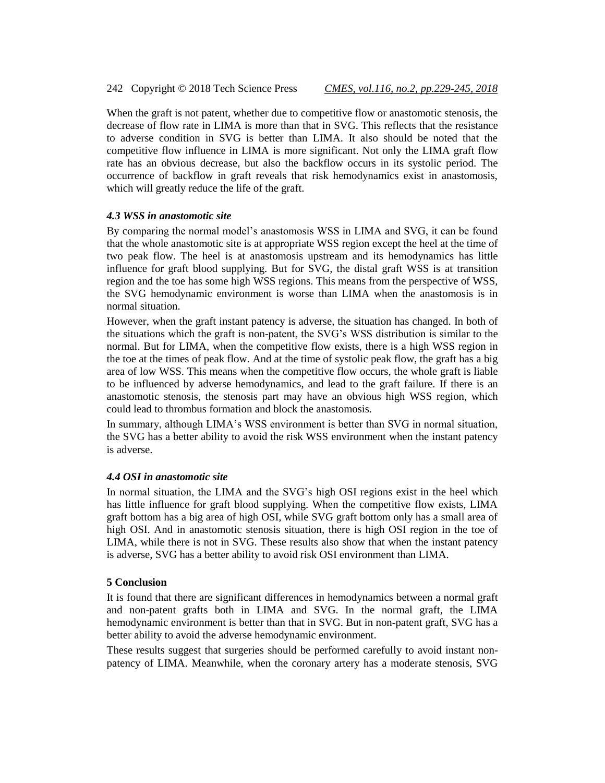When the graft is not patent, whether due to competitive flow or anastomotic stenosis, the decrease of flow rate in LIMA is more than that in SVG. This reflects that the resistance to adverse condition in SVG is better than LIMA. It also should be noted that the competitive flow influence in LIMA is more significant. Not only the LIMA graft flow rate has an obvious decrease, but also the backflow occurs in its systolic period. The occurrence of backflow in graft reveals that risk hemodynamics exist in anastomosis, which will greatly reduce the life of the graft.

### *4.3 WSS in anastomotic site*

By comparing the normal model's anastomosis WSS in LIMA and SVG, it can be found that the whole anastomotic site is at appropriate WSS region except the heel at the time of two peak flow. The heel is at anastomosis upstream and its hemodynamics has little influence for graft blood supplying. But for SVG, the distal graft WSS is at transition region and the toe has some high WSS regions. This means from the perspective of WSS, the SVG hemodynamic environment is worse than LIMA when the anastomosis is in normal situation.

However, when the graft instant patency is adverse, the situation has changed. In both of the situations which the graft is non-patent, the SVG's WSS distribution is similar to the normal. But for LIMA, when the competitive flow exists, there is a high WSS region in the toe at the times of peak flow. And at the time of systolic peak flow, the graft has a big area of low WSS. This means when the competitive flow occurs, the whole graft is liable to be influenced by adverse hemodynamics, and lead to the graft failure. If there is an anastomotic stenosis, the stenosis part may have an obvious high WSS region, which could lead to thrombus formation and block the anastomosis.

In summary, although LIMA's WSS environment is better than SVG in normal situation, the SVG has a better ability to avoid the risk WSS environment when the instant patency is adverse.

### *4.4 OSI in anastomotic site*

In normal situation, the LIMA and the SVG's high OSI regions exist in the heel which has little influence for graft blood supplying. When the competitive flow exists, LIMA graft bottom has a big area of high OSI, while SVG graft bottom only has a small area of high OSI. And in anastomotic stenosis situation, there is high OSI region in the toe of LIMA, while there is not in SVG. These results also show that when the instant patency is adverse, SVG has a better ability to avoid risk OSI environment than LIMA.

### **5 Conclusion**

It is found that there are significant differences in hemodynamics between a normal graft and non-patent grafts both in LIMA and SVG. In the normal graft, the LIMA hemodynamic environment is better than that in SVG. But in non-patent graft, SVG has a better ability to avoid the adverse hemodynamic environment.

These results suggest that surgeries should be performed carefully to avoid instant nonpatency of LIMA. Meanwhile, when the coronary artery has a moderate stenosis, SVG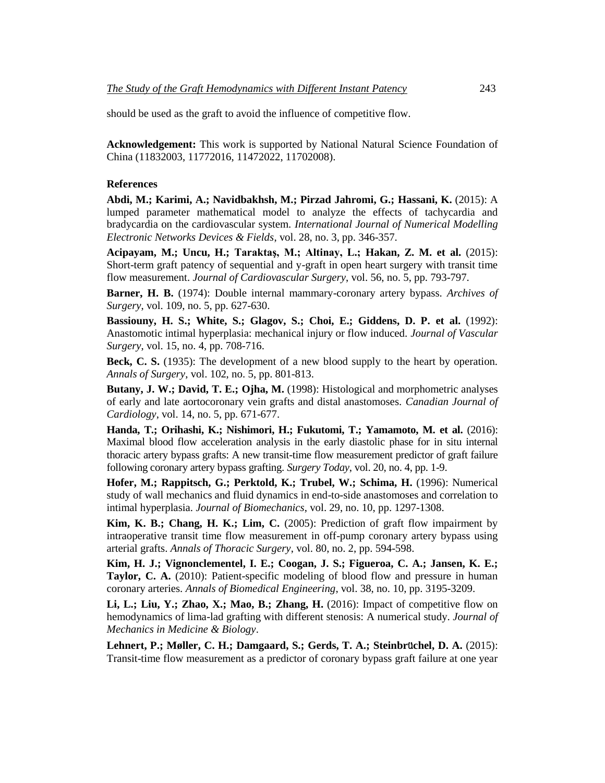should be used as the graft to avoid the influence of competitive flow.

**Acknowledgement:** This work is supported by National Natural Science Foundation of China (11832003, 11772016, 11472022, 11702008).

### **References**

**Abdi, M.; Karimi, A.; Navidbakhsh, M.; Pirzad Jahromi, G.; Hassani, K.** (2015): A lumped parameter mathematical model to analyze the effects of tachycardia and bradycardia on the cardiovascular system. *International Journal of Numerical Modelling Electronic Networks Devices & Fields*, vol. 28, no. 3, pp. 346-357.

**Acipayam, M.; Uncu, H.; Taraktaş, M.; Altinay, L.; Hakan, Z. M. et al.** (2015): Short-term graft patency of sequential and y-graft in open heart surgery with transit time flow measurement. *Journal of Cardiovascular Surgery*, vol. 56, no. 5, pp. 793-797.

**Barner, H. B.** (1974): Double internal mammary-coronary artery bypass. *Archives of Surgery*, vol. 109, no. 5, pp. 627-630.

**Bassiouny, H. S.; White, S.; Glagov, S.; Choi, E.; Giddens, D. P. et al.** (1992): Anastomotic intimal hyperplasia: mechanical injury or flow induced. *Journal of Vascular Surgery*, vol. 15, no. 4, pp. 708-716.

**Beck, C. S.** (1935): The development of a new blood supply to the heart by operation. *Annals of Surgery*, vol. 102, no. 5, pp. 801-813.

**Butany, J. W.; David, T. E.; Ojha, M.** (1998): Histological and morphometric analyses of early and late aortocoronary vein grafts and distal anastomoses. *Canadian Journal of Cardiology*, vol. 14, no. 5, pp. 671-677.

**Handa, T.; Orihashi, K.; Nishimori, H.; Fukutomi, T.; Yamamoto, M. et al.** (2016): Maximal blood flow acceleration analysis in the early diastolic phase for in situ internal thoracic artery bypass grafts: A new transit-time flow measurement predictor of graft failure following coronary artery bypass grafting. *Surgery Today*, vol. 20, no. 4, pp. 1-9.

**Hofer, M.; Rappitsch, G.; Perktold, K.; Trubel, W.; Schima, H.** (1996): Numerical study of wall mechanics and fluid dynamics in end-to-side anastomoses and correlation to intimal hyperplasia. *Journal of Biomechanics*, vol. 29, no. 10, pp. 1297-1308.

**Kim, K. B.; Chang, H. K.; Lim, C.** (2005): Prediction of graft flow impairment by intraoperative transit time flow measurement in off-pump coronary artery bypass using arterial grafts. *Annals of Thoracic Surgery*, vol. 80, no. 2, pp. 594-598.

**Kim, H. J.; Vignonclementel, I. E.; Coogan, J. S.; Figueroa, C. A.; Jansen, K. E.; Taylor, C. A.** (2010): Patient-specific modeling of blood flow and pressure in human coronary arteries. *Annals of Biomedical Engineering*, vol. 38, no. 10, pp. 3195-3209.

**Li, L.; Liu, Y.; Zhao, X.; Mao, B.; Zhang, H.** (2016): Impact of competitive flow on hemodynamics of lima-lad grafting with different stenosis: A numerical study. *Journal of Mechanics in Medicine & Biology*.

**Lehnert, P.; Møller, C. H.; Damgaard, S.; Gerds, T. A.; Steinbr**ü**chel, D. A.** (2015): Transit-time flow measurement as a predictor of coronary bypass graft failure at one year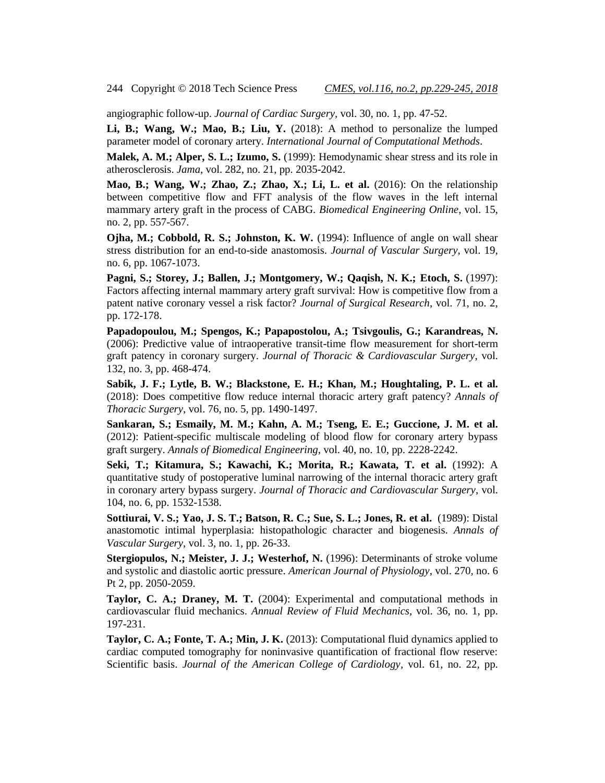angiographic follow-up. *Journal of Cardiac Surgery*, vol. 30, no. 1, pp. 47-52.

**Li, B.; Wang, W.; Mao, B.; Liu, Y.** (2018): A method to personalize the lumped parameter model of coronary artery. *International Journal of Computational Methods*.

**Malek, A. M.; Alper, S. L.; Izumo, S.** (1999): Hemodynamic shear stress and its role in atherosclerosis. *Jama*, vol. 282, no. 21, pp. 2035-2042.

**Mao, B.; Wang, W.; Zhao, Z.; Zhao, X.; Li, L. et al.** (2016): On the relationship between competitive flow and FFT analysis of the flow waves in the left internal mammary artery graft in the process of CABG. *Biomedical Engineering Online*, vol. 15, no. 2, pp. 557-567.

**Ojha, M.; Cobbold, R. S.; Johnston, K. W.** (1994): Influence of angle on wall shear stress distribution for an end-to-side anastomosis. *Journal of Vascular Surgery*, vol. 19, no. 6, pp. 1067-1073.

**Pagni, S.; Storey, J.; Ballen, J.; Montgomery, W.; Qaqish, N. K.; Etoch, S.** (1997): Factors affecting internal mammary artery graft survival: How is competitive flow from a patent native coronary vessel a risk factor? *Journal of Surgical Research*, vol. 71, no. 2, pp. 172-178.

**Papadopoulou, M.; Spengos, K.; Papapostolou, A.; Tsivgoulis, G.; Karandreas, N.**  (2006): Predictive value of intraoperative transit-time flow measurement for short-term graft patency in coronary surgery. *Journal of Thoracic & Cardiovascular Surgery*, vol. 132, no. 3, pp. 468-474.

**Sabik, J. F.; Lytle, B. W.; Blackstone, E. H.; Khan, M.; Houghtaling, P. L. et al.**  (2018): Does competitive flow reduce internal thoracic artery graft patency? *Annals of Thoracic Surgery*, vol. 76, no. 5, pp. 1490-1497.

**Sankaran, S.; Esmaily, M. M.; Kahn, A. M.; Tseng, E. E.; Guccione, J. M. et al.**  (2012): Patient-specific multiscale modeling of blood flow for coronary artery bypass graft surgery. *Annals of Biomedical Engineering*, vol. 40, no. 10, pp. 2228-2242.

**Seki, T.; Kitamura, S.; Kawachi, K.; Morita, R.; Kawata, T. et al.** (1992): A quantitative study of postoperative luminal narrowing of the internal thoracic artery graft in coronary artery bypass surgery. *Journal of Thoracic and Cardiovascular Surgery*, vol. 104, no. 6, pp. 1532-1538.

**Sottiurai, V. S.; Yao, J. S. T.; Batson, R. C.; Sue, S. L.; Jones, R. et al.** (1989): Distal anastomotic intimal hyperplasia: histopathologic character and biogenesis. *Annals of Vascular Surgery*, vol. 3, no. 1, pp. 26-33.

**Stergiopulos, N.; Meister, J. J.; Westerhof, N.** (1996): Determinants of stroke volume and systolic and diastolic aortic pressure. *American Journal of Physiology*, vol. 270, no. 6 Pt 2, pp. 2050-2059.

**Taylor, C. A.; Draney, M. T.** (2004): Experimental and computational methods in cardiovascular fluid mechanics. *Annual Review of Fluid Mechanics*, vol. 36, no. 1, pp. 197-231.

**Taylor, C. A.; Fonte, T. A.; Min, J. K.** (2013): Computational fluid dynamics applied to cardiac computed tomography for noninvasive quantification of fractional flow reserve: Scientific basis. *Journal of the American College of Cardiology*, vol. 61, no. 22, pp.